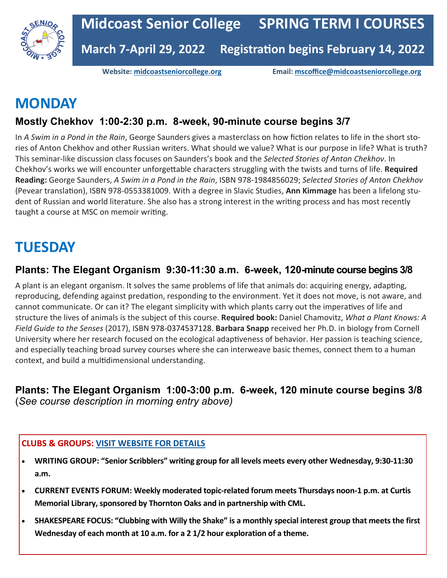

**Website: [midcoastseniorcollege.org](http://www.midcoastseniorcollege.org) Email: [mscoffice@midcoastseniorcollege.org](mailto:mscoffice@midcoastseniorcollege.org)**

# **MONDAY**

### **Mostly Chekhov 1:00-2:30 p.m. 8-week, 90-minute course begins 3/7**

In *A Swim in a Pond in the Rain*, George Saunders gives a masterclass on how fiction relates to life in the short stories of Anton Chekhov and other Russian writers. What should we value? What is our purpose in life? What is truth? This seminar-like discussion class focuses on Saunders's book and the *Selected Stories of Anton Chekhov*. In Chekhov's works we will encounter unforgettable characters struggling with the twists and turns of life. **Required Reading:** George Saunders, *A Swim in a Pond in the Rain*, ISBN 978-1984856029; *Selected Stories of Anton Chekhov* (Pevear translation), ISBN 978-0553381009. With a degree in Slavic Studies, **Ann Kimmage** has been a lifelong student of Russian and world literature. She also has a strong interest in the writing process and has most recently taught a course at MSC on memoir writing.

# **TUESDAY**

### **Plants: The Elegant Organism 9:30-11:30 a.m. 6-week, 120-minute course begins 3/8**

A plant is an elegant organism. It solves the same problems of life that animals do: acquiring energy, adapting, reproducing, defending against predation, responding to the environment. Yet it does not move, is not aware, and cannot communicate. Or can it? The elegant simplicity with which plants carry out the imperatives of life and structure the lives of animals is the subject of this course. **Required book:** Daniel Chamovitz, *What a Plant Knows: A Field Guide to the Senses* (2017), ISBN 978-0374537128. **Barbara Snapp** received her Ph.D. in biology from Cornell University where her research focused on the ecological adaptiveness of behavior. Her passion is teaching science, and especially teaching broad survey courses where she can interweave basic themes, connect them to a human context, and build a multidimensional understanding.

**Plants: The Elegant Organism 1:00-3:00 p.m. 6-week, 120 minute course begins 3/8**  (*See course description in morning entry above)*

#### **CLUBS & GROUPS: [VISIT WEBSITE FOR DETAILS](https://midcoastseniorcollege.org/special-interest-groups/)**

- **WRITING GROUP: "Senior Scribblers" writing group for all levels meets every other Wednesday, 9:30-11:30 a.m.**
- **CURRENT EVENTS FORUM: Weekly moderated topic-related forum meets Thursdays noon-1 p.m. at Curtis Memorial Library, sponsored by Thornton Oaks and in partnership with CML.**
- **SHAKESPEARE FOCUS: "Clubbing with Willy the Shake" is a monthly special interest group that meets the first Wednesday of each month at 10 a.m. for a 2 1/2 hour exploration of a theme.**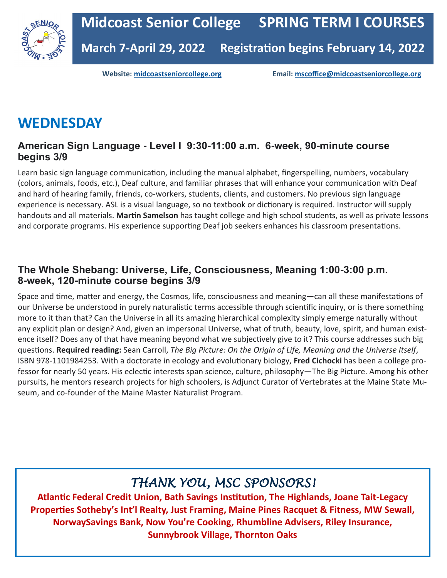

**Website: [midcoastseniorcollege.org](http://www.midcoastseniorcollege.org) Email: [mscoffice@midcoastseniorcollege.org](mailto:mscoffice@midcoastseniorcollege.org)**

# **WEDNESDAY**

### **American Sign Language - Level I 9:30-11:00 a.m. 6-week, 90-minute course begins 3/9**

Learn basic sign language communication, including the manual alphabet, fingerspelling, numbers, vocabulary (colors, animals, foods, etc.), Deaf culture, and familiar phrases that will enhance your communication with Deaf and hard of hearing family, friends, co-workers, students, clients, and customers. No previous sign language experience is necessary. ASL is a visual language, so no textbook or dictionary is required. Instructor will supply handouts and all materials. **Martin Samelson** has taught college and high school students, as well as private lessons and corporate programs. His experience supporting Deaf job seekers enhances his classroom presentations.

### **The Whole Shebang: Universe, Life, Consciousness, Meaning 1:00-3:00 p.m. 8-week, 120-minute course begins 3/9**

Space and time, matter and energy, the Cosmos, life, consciousness and meaning—can all these manifestations of our Universe be understood in purely naturalistic terms accessible through scientific inquiry, or is there something more to it than that? Can the Universe in all its amazing hierarchical complexity simply emerge naturally without any explicit plan or design? And, given an impersonal Universe, what of truth, beauty, love, spirit, and human existence itself? Does any of that have meaning beyond what we subjectively give to it? This course addresses such big questions. **Required reading:** Sean Carroll, *The Big Picture: On the Origin of Life, Meaning and the Universe Itself*, ISBN 978-1101984253. With a doctorate in ecology and evolutionary biology, **Fred Cichocki** has been a college professor for nearly 50 years. His eclectic interests span science, culture, philosophy—The Big Picture. Among his other pursuits, he mentors research projects for high schoolers, is Adjunct Curator of Vertebrates at the Maine State Museum, and co-founder of the Maine Master Naturalist Program.

### *THANK YOU, MSC SPONSORS!*

**Atlantic Federal Credit Union, Bath Savings Institution, The Highlands, Joane Tait-Legacy Properties Sotheby's Int'l Realty, Just Framing, Maine Pines Racquet & Fitness, MW Sewall, NorwaySavings Bank, Now You're Cooking, Rhumbline Advisers, Riley Insurance, Sunnybrook Village, Thornton Oaks**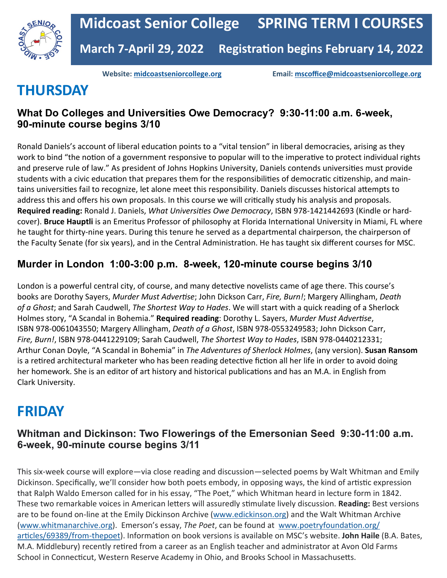

**Website: [midcoastseniorcollege.org](http://www.midcoastseniorcollege.org) Email: [mscoffice@midcoastseniorcollege.org](mailto:mscoffice@midcoastseniorcollege.org)**

# **THURSDAY**

### **What Do Colleges and Universities Owe Democracy? 9:30-11:00 a.m. 6-week, 90-minute course begins 3/10**

Ronald Daniels's account of liberal education points to a "vital tension" in liberal democracies, arising as they work to bind "the notion of a government responsive to popular will to the imperative to protect individual rights and preserve rule of law." As president of Johns Hopkins University, Daniels contends universities must provide students with a civic education that prepares them for the responsibilities of democratic citizenship, and maintains universities fail to recognize, let alone meet this responsibility. Daniels discusses historical attempts to address this and offers his own proposals. In this course we will critically study his analysis and proposals. **Required reading:** Ronald J. Daniels, *What Universities Owe Democracy*, ISBN 978-1421442693 (Kindle or hardcover). **Bruce Hauptli** is an Emeritus Professor of philosophy at Florida International University in Miami, FL where he taught for thirty-nine years. During this tenure he served as a departmental chairperson, the chairperson of the Faculty Senate (for six years), and in the Central Administration. He has taught six different courses for MSC.

### **Murder in London 1:00-3:00 p.m. 8-week, 120-minute course begins 3/10**

London is a powerful central city, of course, and many detective novelists came of age there. This course's books are Dorothy Sayers, *Murder Must Advertise*; John Dickson Carr, *Fire, Burn!*; Margery Allingham, *Death of a Ghost*; and Sarah Caudwell, *The Shortest Way to Hades*. We will start with a quick reading of a Sherlock Holmes story, "A Scandal in Bohemia." **Required reading**: Dorothy L. Sayers, *Murder Must Advertise*, ISBN 978-0061043550; Margery Allingham, *Death of a Ghost*, ISBN 978-0553249583; John Dickson Carr, *Fire, Burn!*, ISBN 978-0441229109; Sarah Caudwell, *The Shortest Way to Hades*, ISBN 978-0440212331; Arthur Conan Doyle, "A Scandal in Bohemia" in *The Adventures of Sherlock Holmes*, (any version). **Susan Ransom**  is a retired architectural marketer who has been reading detective fiction all her life in order to avoid doing her homework. She is an editor of art history and historical publications and has an M.A. in English from Clark University.

## **FRIDAY**

### **Whitman and Dickinson: Two Flowerings of the Emersonian Seed 9:30-11:00 a.m. 6-week, 90-minute course begins 3/11**

This six-week course will explore—via close reading and discussion—selected poems by Walt Whitman and Emily Dickinson. Specifically, we'll consider how both poets embody, in opposing ways, the kind of artistic expression that Ralph Waldo Emerson called for in his essay, "The Poet," which Whitman heard in lecture form in 1842. These two remarkable voices in American letters will assuredly stimulate lively discussion. **Reading:** Best versions are to be found on-line at the Emily Dickinson Archive [\(www.edickinson.org\)](http://www.edickinson.org) and the Walt Whitman Archive [\(www.whitmanarchive.org\).](http://www.whitmanarchive.org) Emerson's essay, *The Poet*, can be found at [www.poetryfoundation.org/](http://www.poetryfoundation.org/articles/69389/from-thepoet) [articles/69389/from](http://www.poetryfoundation.org/articles/69389/from-thepoet)-thepoet). Information on book versions is available on MSC's website. **John Haile** (B.A. Bates, M.A. Middlebury) recently retired from a career as an English teacher and administrator at Avon Old Farms School in Connecticut, Western Reserve Academy in Ohio, and Brooks School in Massachusetts.